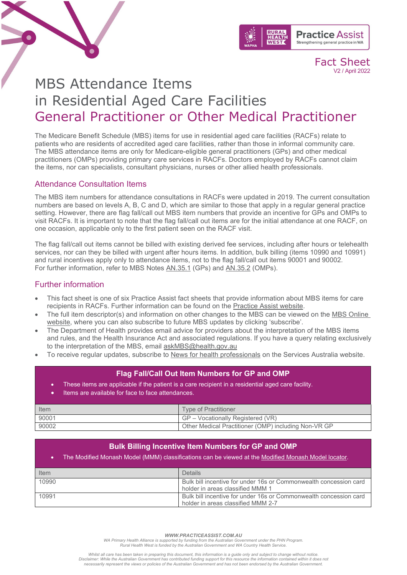



Fact Sheet V2 / April 2022

# MBS Attendance Items in Residential Aged Care Facilities General Practitioner or Other Medical Practitioner

The Medicare Benefit Schedule (MBS) items for use in residential aged care facilities (RACFs) relate to patients who are residents of accredited aged care facilities, rather than those in informal community care. The MBS attendance items are only for Medicare-eligible general practitioners (GPs) and other medical practitioners (OMPs) providing primary care services in RACFs. Doctors employed by RACFs cannot claim the items, nor can specialists, consultant physicians, nurses or other allied health professionals.

## Attendance Consultation Items

The MBS item numbers for attendance consultations in RACFs were updated in 2019. The current consultation numbers are based on levels A, B, C and D, which are similar to those that apply in a regular general practice setting. However, there are flag fall/call out MBS item numbers that provide an incentive for GPs and OMPs to visit RACFs. It is important to note that the flag fall/call out items are for the initial attendance at one RACF, on one occasion, applicable only to the first patient seen on the RACF visit.

The flag fall/call out items cannot be billed with existing derived fee services, including after hours or telehealth services, nor can they be billed with urgent after hours items. In addition, bulk billing (items 10990 and 10991) and rural incentives apply only to attendance items, not to the flag fall/call out items 90001 and 90002. For further information, refer to MBS Notes [AN.35.1](http://www9.health.gov.au/mbs/fullDisplay.cfm?type=note&qt=NoteID&q=AN.35.1) (GPs) and [AN.35.2](http://www9.health.gov.au/mbs/fullDisplay.cfm?type=note&q=AN.35.2&qt=noteID&criteria=90002) (OMPs).

# Further information

- This fact sheet is one of six Practice Assist fact sheets that provide information about MBS items for care recipients in RACFs. Further information can be found on the [Practice Assist website.](https://www.practiceassist.com.au/)
- The full item descriptor(s) and information on other changes to the MBS can be viewed on the MBS [Online](http://www.mbsonline.gov.au/internet/mbsonline/publishing.nsf/Content/Home)  [website,](http://www.mbsonline.gov.au/internet/mbsonline/publishing.nsf/Content/Home) where you can also subscribe to future MBS updates by clicking 'subscribe'.
- The Department of Health provides email advice for providers about the interpretation of the MBS items and rules, and the Health Insurance Act and associated regulations. If you have a query relating exclusively to the interpretation of the MBS, email [askMBS@health.gov.au](mailto:askMBS@health.gov.au)
- To receive regular updates, subscribe to [News for health professionals](https://www.humanservices.gov.au/organisations/health-professionals/news/all) on the Services Australia website.

## **Flag Fall/Call Out Item Numbers for GP and OMP**

- These items are applicable if the patient is a care recipient in a residential aged care facility.
- Items are available for face to face attendances.

| <b>Item</b> | <b>Type of Practitioner</b>                          |
|-------------|------------------------------------------------------|
| 90001       | GP – Vocationally Registered (VR)                    |
| 90002       | Other Medical Practitioner (OMP) including Non-VR GP |

## **Bulk Billing Incentive Item Numbers for GP and OMP**

#### The Modified Monash Model (MMM) classifications can be viewed at the [Modified Monash Model locator.](http://www.doctorconnect.gov.au/internet/otd/publishing.nsf/content/locator)

| Item  | <b>Details</b>                                                                                          |
|-------|---------------------------------------------------------------------------------------------------------|
| 10990 | Bulk bill incentive for under 16s or Commonwealth concession card<br>holder in areas classified MMM 1   |
| 10991 | Bulk bill incentive for under 16s or Commonwealth concession card<br>holder in areas classified MMM 2-7 |

*WWW.PRACTICEASSIST.COM.AU*

*WA Primary Health Alliance is supported by funding from the Australian Government under the PHN Program. Rural Health West is funded by the Australian Government and WA Country Health Service.* 

*Whilst all care has been taken in preparing this document, this information is a guide only and subject to change without notice.* Disclaimer: While the Australian Government has contributed funding support for this resource the information contained within it does not<br>necessarily represent the views or policies of the Australian Government and has no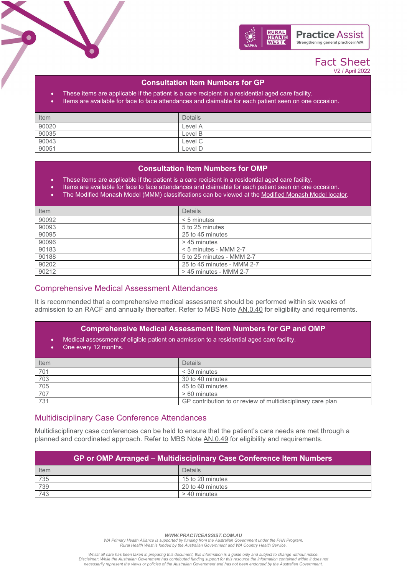

## Fact Sheet V2 / April 2022

## **Consultation Item Numbers for GP**

- These items are applicable if the patient is a care recipient in a residential aged care facility.
- Items are available for face to face attendances and claimable for each patient seen on one occasion.

| Item  | <b>Details</b> |
|-------|----------------|
| 90020 | Level A        |
| 90035 | Level B        |
| 90043 | Level C        |
| 90051 | Level D        |

## **Consultation Item Numbers for OMP**

- These items are applicable if the patient is a care recipient in a residential aged care facility.
- Items are available for face to face attendances and claimable for each patient seen on one occasion.
- The Modified Monash Model (MMM) classifications can be viewed at the [Modified Monash Model locator.](http://www.doctorconnect.gov.au/internet/otd/publishing.nsf/content/locator)

| Item  | <b>Details</b>             |
|-------|----------------------------|
| 90092 | $< 5$ minutes              |
| 90093 | 5 to 25 minutes            |
| 90095 | 25 to 45 minutes           |
| 90096 | > 45 minutes               |
| 90183 | $< 5$ minutes - MMM 2-7    |
| 90188 | 5 to 25 minutes - MMM 2-7  |
| 90202 | 25 to 45 minutes - MMM 2-7 |
| 90212 | > 45 minutes - MMM 2-7     |

## Comprehensive Medical Assessment Attendances

It is recommended that a comprehensive medical assessment should be performed within six weeks of admission to an RACF and annually thereafter. Refer to MBS Note [AN.0.40](http://www9.health.gov.au/mbs/fullDisplay.cfm?type=note&q=AN.0.40&qt=noteID&criteria=comprehensive%20medical%20assessment) for eligibility and requirements.

#### **Comprehensive Medical Assessment Item Numbers for GP and OMP**

- Medical assessment of eligible patient on admission to a residential aged care facility.
- One every 12 months.

| Item | <b>Details</b>                                              |
|------|-------------------------------------------------------------|
| 701  | < 30 minutes                                                |
| 703  | 30 to 40 minutes                                            |
| 705  | 45 to 60 minutes                                            |
| 707  | > 60 minutes                                                |
| 731  | GP contribution to or review of multidisciplinary care plan |

### Multidisciplinary Case Conference Attendances

Multidisciplinary case conferences can be held to ensure that the patient's care needs are met through a planned and coordinated approach. Refer to MBS Note [AN.0.49](http://www9.health.gov.au/mbs/fullDisplay.cfm?type=note&q=AN.0.49&qt=noteID&criteria=case%20conference) for eligibility and requirements.

| <b>GP or OMP Arranged – Multidisciplinary Case Conference Item Numbers</b> |                  |  |  |
|----------------------------------------------------------------------------|------------------|--|--|
| Item                                                                       | <b>Details</b>   |  |  |
| 735                                                                        | 15 to 20 minutes |  |  |
| 739                                                                        | 20 to 40 minutes |  |  |
| 743                                                                        | > 40 minutes     |  |  |

*WWW.PRACTICEASSIST.COM.AU*

*WA Primary Health Alliance is supported by funding from the Australian Government under the PHN Program. Rural Health West is funded by the Australian Government and WA Country Health Service.* 

*Whilst all care has been taken in preparing this document, this information is a guide only and subject to change without notice.* Disclaimer: While the Australian Government has contributed funding support for this resource the information contained within it does not<br>necessarily represent the views or policies of the Australian Government and has no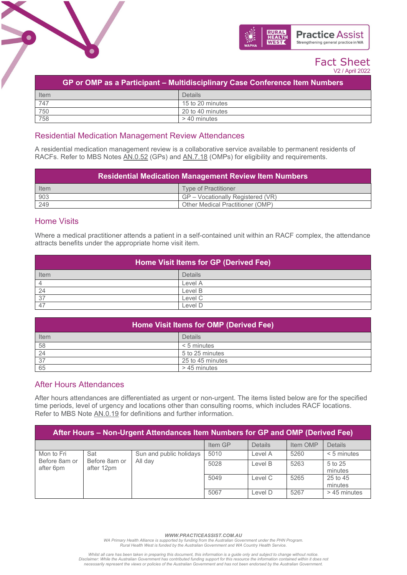

# Fact Sheet V2 / April 2022

| GP or OMP as a Participant – Multidisciplinary Case Conference Item Numbers |                  |  |  |
|-----------------------------------------------------------------------------|------------------|--|--|
| Item                                                                        | Details          |  |  |
| 747                                                                         | 15 to 20 minutes |  |  |
| 750                                                                         | 20 to 40 minutes |  |  |
| 758                                                                         | > 40 minutes     |  |  |

## Residential Medication Management Review Attendances

A residential medication management review is a collaborative service available to permanent residents of RACFs. Refer to MBS Notes [AN.0.52](http://www9.health.gov.au/mbs/fullDisplay.cfm?type=note&qt=NoteID&q=AN.0.52) (GPs) and [AN.7.18](http://www9.health.gov.au/mbs/fullDisplay.cfm?type=note&qt=NoteID&q=AN.7.18) (OMPs) for eligibility and requirements.

| <b>Residential Medication Management Review Item Numbers</b> |                                   |  |  |
|--------------------------------------------------------------|-----------------------------------|--|--|
| Item                                                         | Type of Practitioner              |  |  |
| $\frac{903}{249}$                                            | GP – Vocationally Registered (VR) |  |  |
|                                                              | Other Medical Practitioner (OMP)  |  |  |

# Home Visits

Where a medical practitioner attends a patient in a self-contained unit within an RACF complex, the attendance attracts benefits under the appropriate home visit item.

| Home Visit Items for GP (Derived Fee) |         |  |  |
|---------------------------------------|---------|--|--|
| Item                                  | Details |  |  |
|                                       | Level A |  |  |
| -24                                   | Level B |  |  |
| 37                                    | Level C |  |  |
| -47                                   | Level D |  |  |

| Home Visit Items for OMP (Derived Fee) |                  |  |  |
|----------------------------------------|------------------|--|--|
| Item                                   | <b>Details</b>   |  |  |
| 58                                     | $< 5$ minutes    |  |  |
| 24                                     | 5 to 25 minutes  |  |  |
| 37                                     | 25 to 45 minutes |  |  |
| 65                                     | > 45 minutes     |  |  |

# After Hours Attendances

After hours attendances are differentiated as urgent or non-urgent. The items listed below are for the specified time periods, level of urgency and locations other than consulting rooms, which includes RACF locations. Refer to MBS Note [AN.0.19](http://www9.health.gov.au/mbs/fullDisplay.cfm?type=note&qt=NoteID&q=AN.0.19) for definitions and further information.

| After Hours - Non-Urgent Attendances Item Numbers for GP and OMP (Derived Fee) |                                        |                         |         |                |                    |                     |
|--------------------------------------------------------------------------------|----------------------------------------|-------------------------|---------|----------------|--------------------|---------------------|
|                                                                                |                                        |                         | Item GP | <b>Details</b> | Item OMP           | <b>Details</b>      |
| Mon to Fri                                                                     | Sat                                    | Sun and public holidays | 5010    | Level A        | 5260               | $< 5$ minutes       |
| Before 8am or<br>after 6pm                                                     | Before 8am or<br>All day<br>after 12pm | 5028                    | Level B | 5263           | 5 to 25<br>minutes |                     |
|                                                                                |                                        |                         | 5049    | Level C        | 5265               | 25 to 45<br>minutes |
|                                                                                |                                        |                         | 5067    | Level D        | 5267               | > 45 minutes        |

*WWW.PRACTICEASSIST.COM.AU*

*WA Primary Health Alliance is supported by funding from the Australian Government under the PHN Program. Rural Health West is funded by the Australian Government and WA Country Health Service.* 

*Whilst all care has been taken in preparing this document, this information is a guide only and subject to change without notice.* Disclaimer: While the Australian Government has contributed funding support for this resource the information contained within it does not<br>necessarily represent the views or policies of the Australian Government and has no